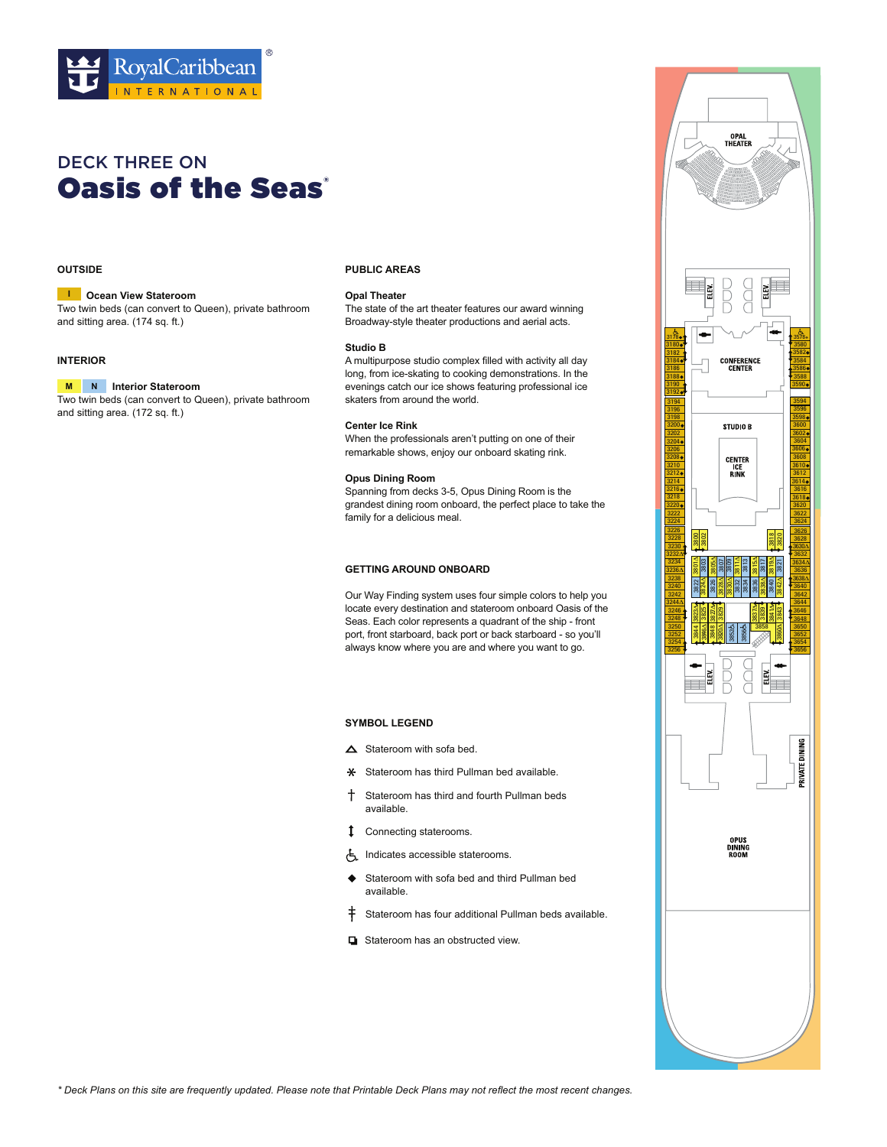

# DECK THREE ON **[Oasis of the Seas](http://www.azur-croisieres.com/croisieres/navire/102_bateau-oasis-of-the-seas)®**

# **OUTSIDE**

#### **Ocean View Stateroom I**

Two twin beds (can convert to Queen), private bathroom and sitting area. (174 sq. ft.)

### **INTERIOR**

#### **Interior Stateroom M N**

Two twin beds (can convert to Queen), private bathroom and sitting area. (172 sq. ft.)

### **PUBLIC AREAS**

# **Opal Theater**

The state of the art theater features our award winning Broadway-style theater productions and aerial acts.

#### **Studio B**

A multipurpose studio complex filled with activity all day long, from ice-skating to cooking demonstrations. In the evenings catch our ice shows featuring professional ice skaters from around the world.

#### **Center Ice Rink**

When the professionals aren't putting on one of their remarkable shows, enjoy our onboard skating rink.

# **Opus Dining Room**

Spanning from decks 3-5, Opus Dining Room is the grandest dining room onboard, the perfect place to take the family for a delicious meal.

### **GETTING AROUND ONBOARD**

Our Way Finding system uses four simple colors to help you locate every destination and stateroom onboard Oasis of the Seas. Each color represents a quadrant of the ship - front port, front starboard, back port or back starboard - so you'll always know where you are and where you want to go.

- $\triangle$  Stateroom with sofa bed.
- **\*** Stateroom has third Pullman bed available.
- Stateroom has third and fourth Pullman beds available.
- Connecting staterooms.
- Indicates accessible staterooms.
- ◆ Stateroom with sofa bed and third Pullman bed available.
- $\dagger$  Stateroom has four additional Pullman beds available.
- Stateroom has an obstructed view.

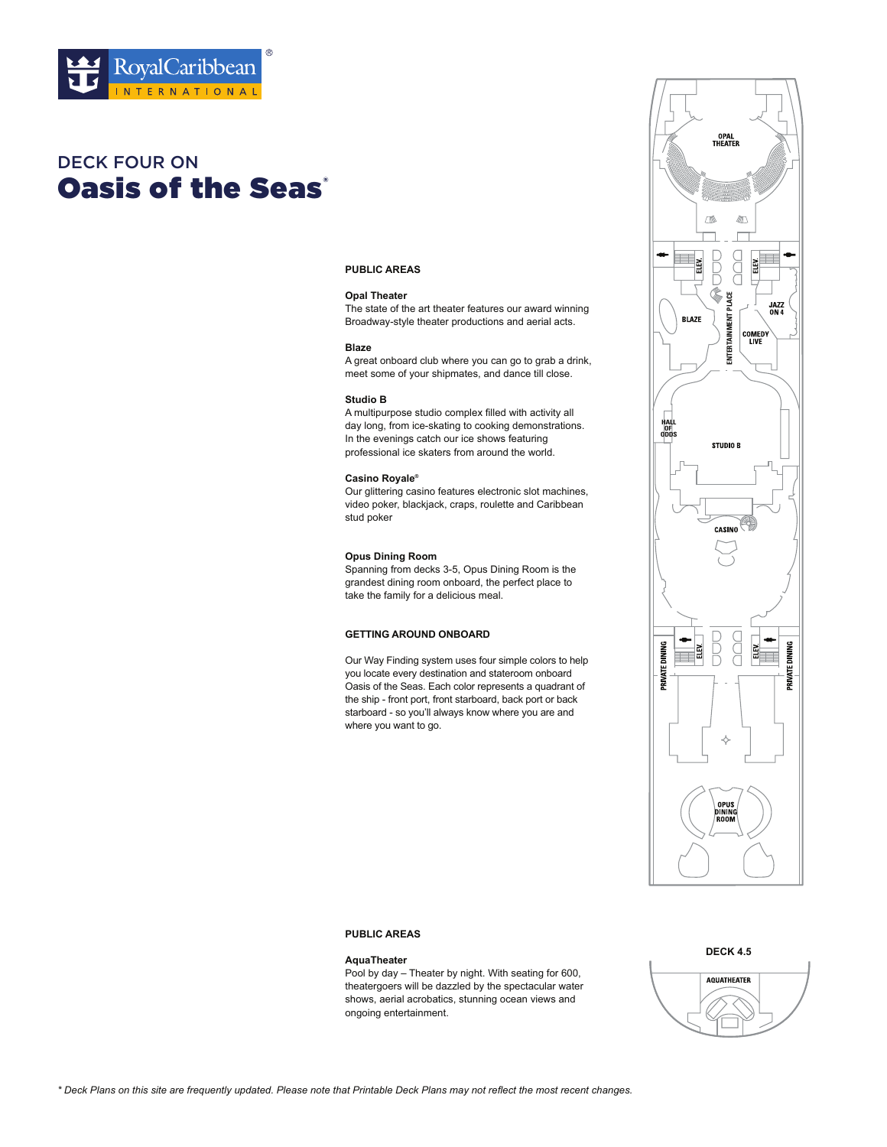

# **Oasis of the Seas'** DECK FOUR ON

# **PUBLIC AREAS**

# **Opal Theater**

The state of the art theater features our award winning Broadway-style theater productions and aerial acts.

#### **Blaze**

A great onboard club where you can go to grab a drink, meet some of your shipmates, and dance till close.

#### **Studio B**

A multipurpose studio complex filled with activity all day long, from ice-skating to cooking demonstrations. In the evenings catch our ice shows featuring professional ice skaters from around the world.

# **Casino Royale®**

Our glittering casino features electronic slot machines, video poker, blackjack, craps, roulette and Caribbean stud poker

### **Opus Dining Room**

Spanning from decks 3-5, Opus Dining Room is the grandest dining room onboard, the perfect place to take the family for a delicious meal.

# **GETTING AROUND ONBOARD**

Our Way Finding system uses four simple colors to help you locate every destination and stateroom onboard Oasis of the Seas. Each color represents a quadrant of the ship - front port, front starboard, back port or back starboard - so you'll always know where you are and where you want to go.



# **PUBLIC AREAS**

#### **AquaTheater**

Pool by day – Theater by night. With seating for 600, theatergoers will be dazzled by the spectacular water shows, aerial acrobatics, stunning ocean views and ongoing entertainment.

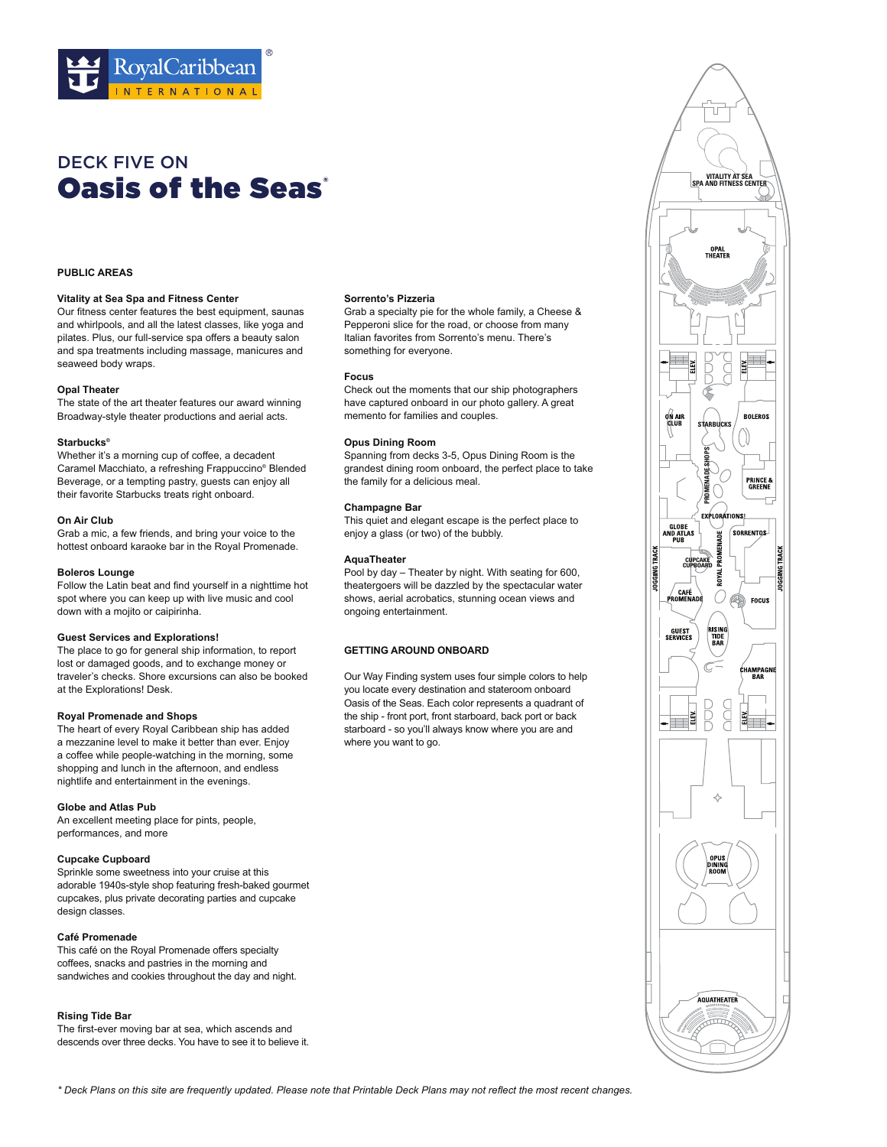

# **Oasis of the Seas** DECK FIVE ON

#### **PUBLIC AREAS**

#### **Vitality at Sea Spa and Fitness Center**

Our fitness center features the best equipment, saunas and whirlpools, and all the latest classes, like yoga and pilates. Plus, our full-service spa offers a beauty salon and spa treatments including massage, manicures and seaweed body wraps.

#### **Opal Theater**

The state of the art theater features our award winning Broadway-style theater productions and aerial acts.

#### **Starbucks®**

Whether it's a morning cup of coffee, a decadent Caramel Macchiato, a refreshing Frappuccino® Blended Beverage, or a tempting pastry, guests can enjoy all their favorite Starbucks treats right onboard.

#### **On Air Club**

Grab a mic, a few friends, and bring your voice to the hottest onboard karaoke bar in the Royal Promenade.

#### **Boleros Lounge**

Follow the Latin beat and find yourself in a nighttime hot spot where you can keep up with live music and cool down with a mojito or caipirinha.

#### **Guest Services and Explorations!**

The place to go for general ship information, to report lost or damaged goods, and to exchange money or traveler's checks. Shore excursions can also be booked at the Explorations! Desk.

#### **Royal Promenade and Shops**

The heart of every Royal Caribbean ship has added a mezzanine level to make it better than ever. Enjoy a coffee while people-watching in the morning, some shopping and lunch in the afternoon, and endless nightlife and entertainment in the evenings.

# **Globe and Atlas Pub**

An excellent meeting place for pints, people, performances, and more

### **Cupcake Cupboard**

Sprinkle some sweetness into your cruise at this adorable 1940s-style shop featuring fresh-baked gourmet cupcakes, plus private decorating parties and cupcake design classes.

# **Café Promenade**

This café on the Royal Promenade offers specialty coffees, snacks and pastries in the morning and sandwiches and cookies throughout the day and night.

#### **Rising Tide Bar**

The first-ever moving bar at sea, which ascends and descends over three decks. You have to see it to believe it.

#### **Sorrento's Pizzeria**

Grab a specialty pie for the whole family, a Cheese & Pepperoni slice for the road, or choose from many Italian favorites from Sorrento's menu. There's something for everyone.

#### **Focus**

Check out the moments that our ship photographers have captured onboard in our photo gallery. A great memento for families and couples.

#### **Opus Dining Room**

Spanning from decks 3-5, Opus Dining Room is the grandest dining room onboard, the perfect place to take the family for a delicious meal.

#### **Champagne Bar**

This quiet and elegant escape is the perfect place to enjoy a glass (or two) of the bubbly.

# **AquaTheater**

Pool by day – Theater by night. With seating for 600, theatergoers will be dazzled by the spectacular water shows, aerial acrobatics, stunning ocean views and ongoing entertainment.

#### **GETTING AROUND ONBOARD**

Our Way Finding system uses four simple colors to help you locate every destination and stateroom onboard Oasis of the Seas. Each color represents a quadrant of the ship - front port, front starboard, back port or back starboard - so you'll always know where you are and where you want to go.

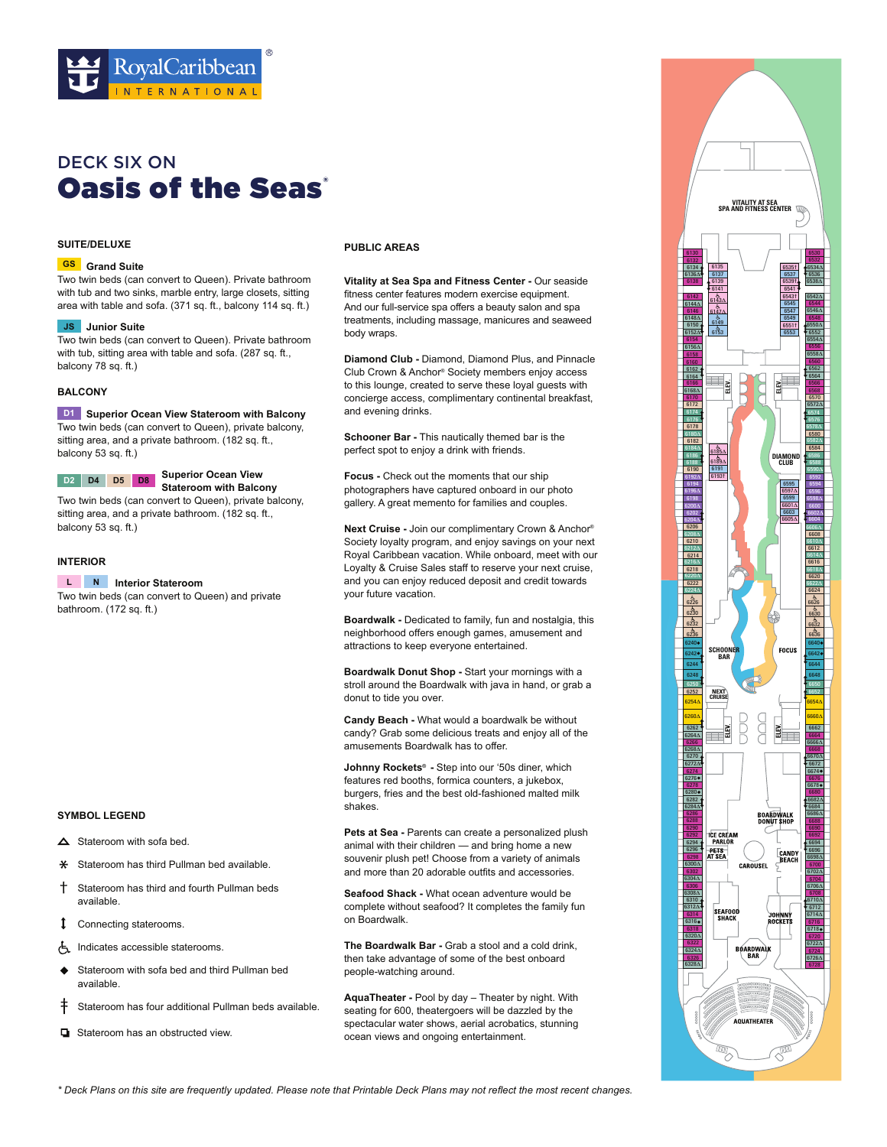

# **Oasis of the Seas** DECK SIX ON

# **SUITE/DELUXE**

# **Grand Suite GS**

Two twin beds (can convert to Queen). Private bathroom with tub and two sinks, marble entry, large closets, sitting area with table and sofa. (371 sq. ft., balcony 114 sq. ft.)

#### **JS** Junior Suite

Two twin beds (can convert to Queen). Private bathroom with tub, sitting area with table and sofa. (287 sq. ft., balcony 78 sq. ft.)

# **BALCONY**

**D1** Superior Ocean View Stateroom with Balcony Two twin beds (can convert to Queen), private balcony, sitting area, and a private bathroom. (182 sq. ft., balcony 53 sq. ft.)

# **Superior Ocean View <br>
<b>D2 D4 D5 D8 Superior Ocean View**

**Stateroom with Balcony** Two twin beds (can convert to Queen), private balcony, sitting area, and a private bathroom. (182 sq. ft., balcony 53 sq. ft.)

### **INTERIOR**

**Interior Stateroom L N**

Two twin beds (can convert to Queen) and private bathroom. (172 sq. ft.)

# **PUBLIC AREAS**

**Vitality at Sea Spa and Fitness Center - Our seaside** fitness center features modern exercise equipment. And our full-service spa offers a beauty salon and spa treatments, including massage, manicures and seaweed body wraps.

**Diamond Club -** Diamond, Diamond Plus, and Pinnacle Club Crown & Anchor® Society members enjoy access to this lounge, created to serve these loyal guests with concierge access, complimentary continental breakfast, and evening drinks.

**Schooner Bar - This nautically themed bar is the** perfect spot to enjoy a drink with friends.

**Focus -** Check out the moments that our ship photographers have captured onboard in our photo gallery. A great memento for families and couples.

**Next Cruise -** Join our complimentary Crown & Anchor® Society loyalty program, and enjoy savings on your next Royal Caribbean vacation. While onboard, meet with our Loyalty & Cruise Sales staff to reserve your next cruise, and you can enjoy reduced deposit and credit towards vour future vacation.

**Boardwalk -** Dedicated to family, fun and nostalgia, this neighborhood offers enough games, amusement and attractions to keep everyone entertained.

**Boardwalk Donut Shop -** Start your mornings with a stroll around the Boardwalk with java in hand, or grab a donut to tide you over.

**Candy Beach -** What would a boardwalk be without candy? Grab some delicious treats and enjoy all of the amusements Boardwalk has to offer.

**Johnny Rockets® -** Step into our '50s diner, which features red booths, formica counters, a jukebox, burgers, fries and the best old-fashioned malted milk shakes.

Pets at Sea - Parents can create a personalized plush animal with their children — and bring home a new souvenir plush pet! Choose from a variety of animals and more than 20 adorable outfits and accessories.

Seafood Shack - What ocean adventure would be complete without seafood? It completes the family fun on Boardwalk.

**The Boardwalk Bar -** Grab a stool and a cold drink, then take advantage of some of the best onboard people-watching around.

**AquaTheater -** Pool by day – Theater by night. With seating for 600, theatergoers will be dazzled by the spectacular water shows, aerial acrobatics, stunning ocean views and ongoing entertainment.



\* Deck Plans on this site are frequently updated. Please note that Printable Deck Plans may not reflect the most recent changes.

- $\triangle$  Stateroom with sofa bed.
- **\*** Stateroom has third Pullman bed available.
- <sup> $\dagger$ </sup> Stateroom has third and fourth Pullman beds available.
- Connecting staterooms.
- Indicates accessible staterooms.
- Stateroom with sofa bed and third Pullman bed available
- $\dagger$  Stateroom has four additional Pullman beds available.
- $\Box$  Stateroom has an obstructed view.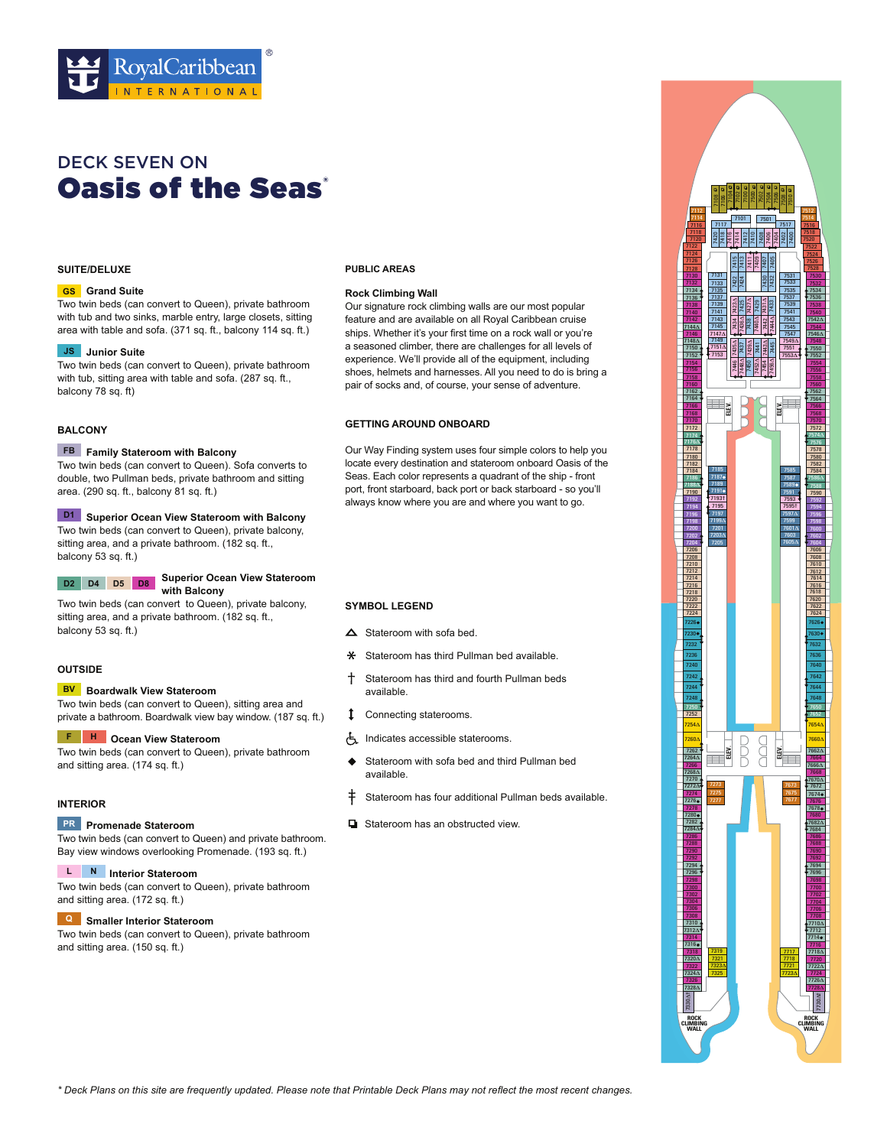

# **Oasis of the Seas'** DECK SEVEN ON

# **SUITE/DELUXE**

#### **Grand Suite GS**

Two twin beds (can convert to Queen), private bathroom with tub and two sinks, marble entry, large closets, sitting area with table and sofa. (371 sq. ft., balcony 114 sq. ft.)

#### JS Junior Suite

Two twin beds (can convert to Queen), private bathroom with tub, sitting area with table and sofa. (287 sq. ft., balcony 78 sq. ft)

# **BALCONY**

#### **Family Stateroom with Balcony FB**

Two twin beds (can convert to Queen). Sofa converts to double, two Pullman beds, private bathroom and sitting area.  $(290$  sq. ft., balcony 81 sq. ft.)

**D1** Superior Ocean View Stateroom with Balcony

Two twin beds (can convert to Queen), private balcony, sitting area, and a private bathroom. (182 sq. ft., balcony 53 sq. ft.)

# **Superior Ocean View Stateroom D2 D4 D5 D8**

**with Balcony** Two twin beds (can convert to Queen), private balcony, sitting area, and a private bathroom. (182 sq. ft., balcony 53 sq. ft.)

# **OUTSIDE**

#### **BV** Boardwalk View Stateroom

Two twin beds (can convert to Queen), sitting area and private a bathroom. Boardwalk view bay window. (187 sq. ft.)

#### **Ocean View Stateroom F H**

Two twin beds (can convert to Queen), private bathroom and sitting area. (174 sq. ft.)

# **INTERIOR**

#### **Promenade Stateroom PR**

Two twin beds (can convert to Queen) and private bathroom. Bay view windows overlooking Promenade. (193 sq. ft.)

#### **L** N Interior Stateroom

Two twin beds (can convert to Queen), private bathroom and sitting area. (172 sq. ft.)

#### **Smaller Interior Stateroom Q**

Two twin beds (can convert to Queen), private bathroom and sitting area. (150 sq. ft.)

#### **PUBLIC AREAS**

# **Rock Climbing Wall**

Our signature rock climbing walls are our most popular feature and are available on all Royal Caribbean cruise ships. Whether it's your first time on a rock wall or you're a seasoned climber, there are challenges for all levels of experience. We'll provide all of the equipment, including shoes, helmets and harnesses. All you need to do is bring a pair of socks and, of course, your sense of adventure.

### **GETTING AROUND ONBOARD**

Our Way Finding system uses four simple colors to help you locate every destination and stateroom onboard Oasis of the Seas. Each color represents a quadrant of the ship - front port, front starboard, back port or back starboard - so you'll always know where you are and where you want to go.

- $\triangle$  Stateroom with sofa bed.
- **\*** Stateroom has third Pullman bed available.
- Stateroom has third and fourth Pullman beds available.
- Connecting staterooms.
- Indicates accessible staterooms.
- Stateroom with sofa bed and third Pullman bed availahle
- $\dagger$  Stateroom has four additional Pullman beds available.
- **D** Stateroom has an obstructed view

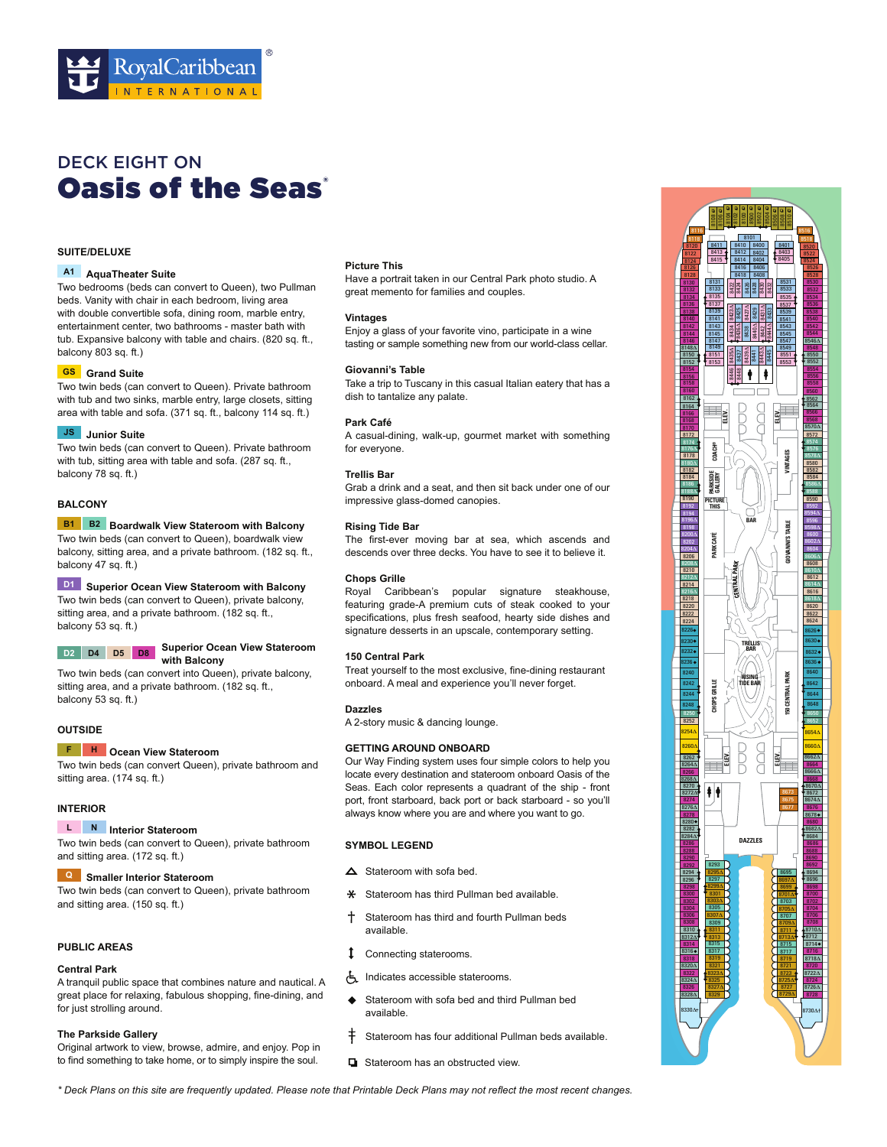

# **Oasis of the Seas'** DECK EIGHT ON

# **SUITE/DELUXE**

#### **AquaTheater Suite A1**

Two bedrooms (beds can convert to Queen), two Pullman beds. Vanity with chair in each bedroom, living area with double convertible sofa, dining room, marble entry, entertainment center, two bathrooms - master bath with tub. Expansive balcony with table and chairs. (820 sq. ft., balcony 803 sq. ft.)

#### **Grand Suite GS**

Two twin beds (can convert to Queen). Private bathroom with tub and two sinks, marble entry, large closets, sitting area with table and sofa. (371 sq. ft., balcony 114 sq. ft.)

#### **JS** Junior Suite

Two twin beds (can convert to Queen). Private bathroom with tub, sitting area with table and sofa. (287 sq. ft., balcony 78 sq. ft.)

# **BALCONY**

# **B1** B2 Boardwalk View Stateroom with Balcony

Two twin beds (can convert to Queen), boardwalk view balcony, sitting area, and a private bathroom. (182 sq. ft., balcony 47 sq. ft.)

# **Superior Ocean View Stateroom with Balcony D1**

Two twin beds (can convert to Queen), private balcony, sitting area, and a private bathroom. (182 sq. ft., balcony 53 sq. ft.)

#### **Superior Ocean View Stateroom D2 D4 D5 D8 with Balcony**

Two twin beds (can convert into Queen), private balcony, sitting area, and a private bathroom. (182 sq. ft., balcony 53 sq. ft.)

# **OUTSIDE**

#### **F H** Ocean View Stateroom

Two twin beds (can convert Queen), private bathroom and sitting area. (174 sq. ft.)

# **INTERIOR**

# **Interior Stateroom L N**

Two twin beds (can convert to Queen), private bathroom and sitting area. (172 sq. ft.)

# **Smaller Interior Stateroom Q**

Two twin beds (can convert to Queen), private bathroom and sitting area. (150 sq. ft.)

# **PUBLIC AREAS**

#### **Central Park**

A tranquil public space that combines nature and nautical. A great place for relaxing, fabulous shopping, fine-dining, and for just strolling around.

#### **The Parkside Gallery**

Original artwork to view, browse, admire, and enjoy. Pop in to find something to take home, or to simply inspire the soul.

#### **Picture This**

Have a portrait taken in our Central Park photo studio. A great memento for families and couples.

# **Vintages**

Enjoy a glass of your favorite vino, participate in a wine tasting or sample something new from our world-class cellar.

#### **Giovanni's Table**

Take a trip to Tuscany in this casual Italian eatery that has a dish to tantalize any palate.

#### **Park Café**

A casual-dining, walk-up, gourmet market with something for everyone.

#### **Trellis Bar**

Grab a drink and a seat, and then sit back under one of our impressive glass-domed canopies.

#### **Rising Tide Bar**

The first-ever moving bar at sea, which ascends and descends over three decks. You have to see it to believe it

#### **Chops Grille**

Royal Caribbean's popular signature steakhouse, featuring grade-A premium cuts of steak cooked to your specifications, plus fresh seafood, hearty side dishes and signature desserts in an upscale, contemporary setting.

#### **150 Central Park**

Treat yourself to the most exclusive, fine-dining restaurant onboard. A meal and experience you'll never forget.

#### **Dazzles**

A 2-story music & dancing lounge.

# **GETTING AROUND ONBOARD**

Our Way Finding system uses four simple colors to help you locate every destination and stateroom onboard Oasis of the Seas. Each color represents a quadrant of the ship - front port, front starboard, back port or back starboard - so you'll always know where you are and where you want to go.

# **SYMBOL LEGEND**

- $\triangle$  Stateroom with sofa bed.
- Stateroom has third Pullman bed available.
- <sup>†</sup> Stateroom has third and fourth Pullman beds availahle
- Connecting staterooms.
- Indicates accessible staterooms.
- ◆ Stateroom with sofa bed and third Pullman bed available.
- $\dagger$  Stateroom has four additional Pullman beds available.
- $\Box$  Stateroom has an obstructed view.



\* Deck Plans on this site are frequently updated. Please note that Printable Deck Plans may not reflect the most recent changes.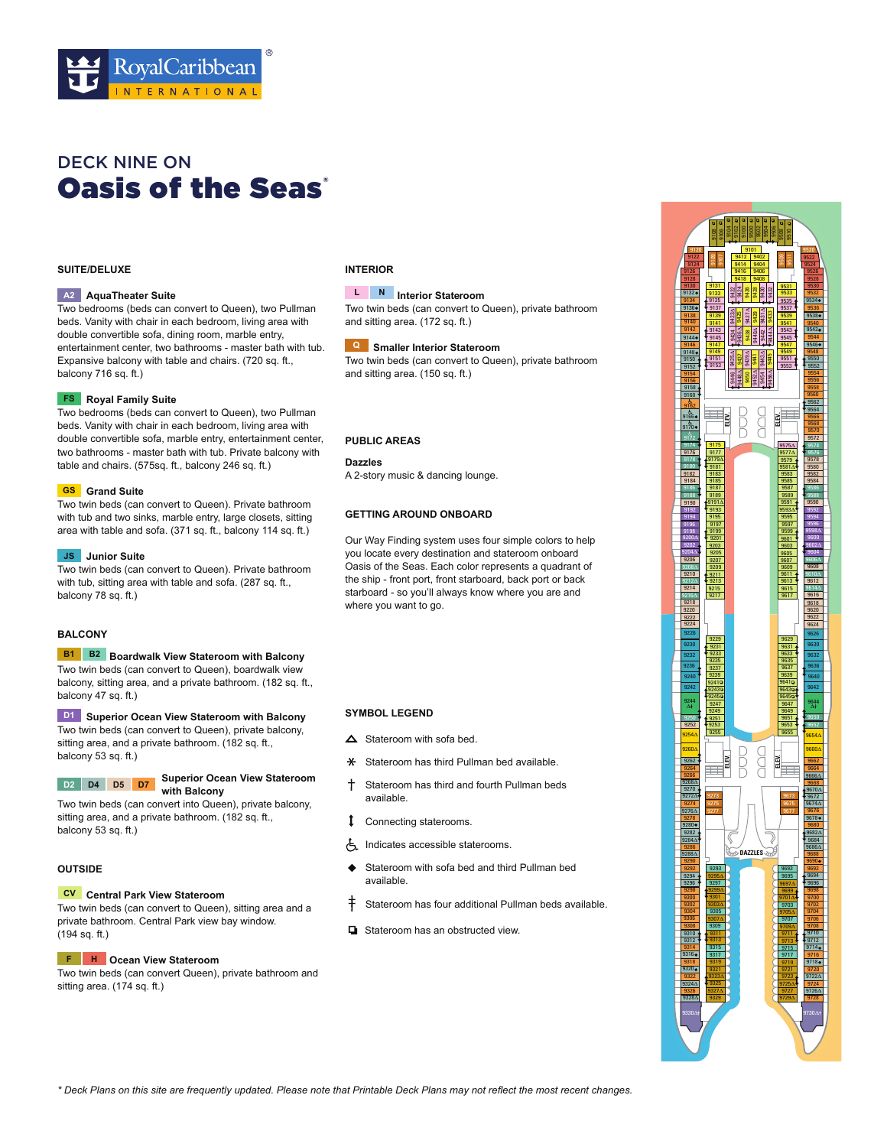

# **Oasis of the Seas** DECK NINE ON

# **SUITE/DELUXE**

#### **AquaTheater Suite A2**

Two bedrooms (beds can convert to Queen), two Pullman beds. Vanity with chair in each bedroom, living area with double convertible sofa, dining room, marble entry, entertainment center, two bathrooms - master bath with tub. Expansive balcony with table and chairs. (720 sq. ft., balcony 716 sq. ft.)

#### **Royal Family Suite FS**

Two bedrooms (beds can convert to Queen), two Pullman beds. Vanity with chair in each bedroom, living area with double convertible sofa, marble entry, entertainment center, two bathrooms - master bath with tub. Private balcony with table and chairs. (575sq. ft., balcony 246 sq. ft.)

#### **Grand Suite GS**

Two twin beds (can convert to Queen). Private bathroom with tub and two sinks, marble entry, large closets, sitting area with table and sofa. (371 sq. ft., balcony 114 sq. ft.)

#### **JS** Junior Suite

Two twin beds (can convert to Queen). Private bathroom with tub, sitting area with table and sofa. (287 sq. ft., balcony 78 sq. ft.)

# **BALCONY**

**B1** B2 Boardwalk View Stateroom with Balcony

Two twin beds (can convert to Queen), boardwalk view balcony, sitting area, and a private bathroom. (182 sq. ft., balcony 47 sq. ft.)

# **Superior Ocean View Stateroom with Balcony D1**

Two twin beds (can convert to Queen), private balcony, sitting area, and a private bathroom. (182 sq. ft., balcony 53 sq. ft.)

#### **Superior Ocean View Stateroom with Balcony D2 D4 D5 D7**

Two twin beds (can convert into Queen), private balcony, sitting area, and a private bathroom. (182 sq. ft., balcony 53 sq. ft.)

# **OUTSIDE**

#### **CV** Central Park View Stateroom

Two twin beds (can convert to Queen), sitting area and a private bathroom. Central Park view bay window.  $(194 sq. ft.)$ 

#### **F H** Ocean View Stateroom

Two twin beds (can convert Queen), private bathroom and sitting area. (174 sq. ft.)

# **INTERIOR**

# **Interior Stateroom L N**

Two twin beds (can convert to Queen), private bathroom and sitting area. (172 sq. ft.)

 **Smaller Interior Stateroom Q** Two twin beds (can convert to Queen), private bathroom and sitting area. (150 sq. ft.)

#### **PUBLIC AREAS**

**Dazzles** A 2-story music & dancing lounge.

#### **GETTING AROUND ONBOARD**

Our Way Finding system uses four simple colors to help you locate every destination and stateroom onboard Oasis of the Seas. Each color represents a quadrant of the ship - front port, front starboard, back port or back starboard - so you'll always know where you are and where you want to go.

### **SYMBOL LEGEND**

- $\triangle$  Stateroom with sofa bed.
- \* Stateroom has third Pullman bed available.
- Stateroom has third and fourth Pullman beds availahle
- Connecting staterooms.
- Indicates accessible staterooms.
- Stateroom with sofa bed and third Pullman bed available.
- $\dagger$  Stateroom has four additional Pullman beds available.
- $\Box$  Stateroom has an obstructed view.



\* Deck Plans on this site are frequently updated. Please note that Printable Deck Plans may not reflect the most recent changes.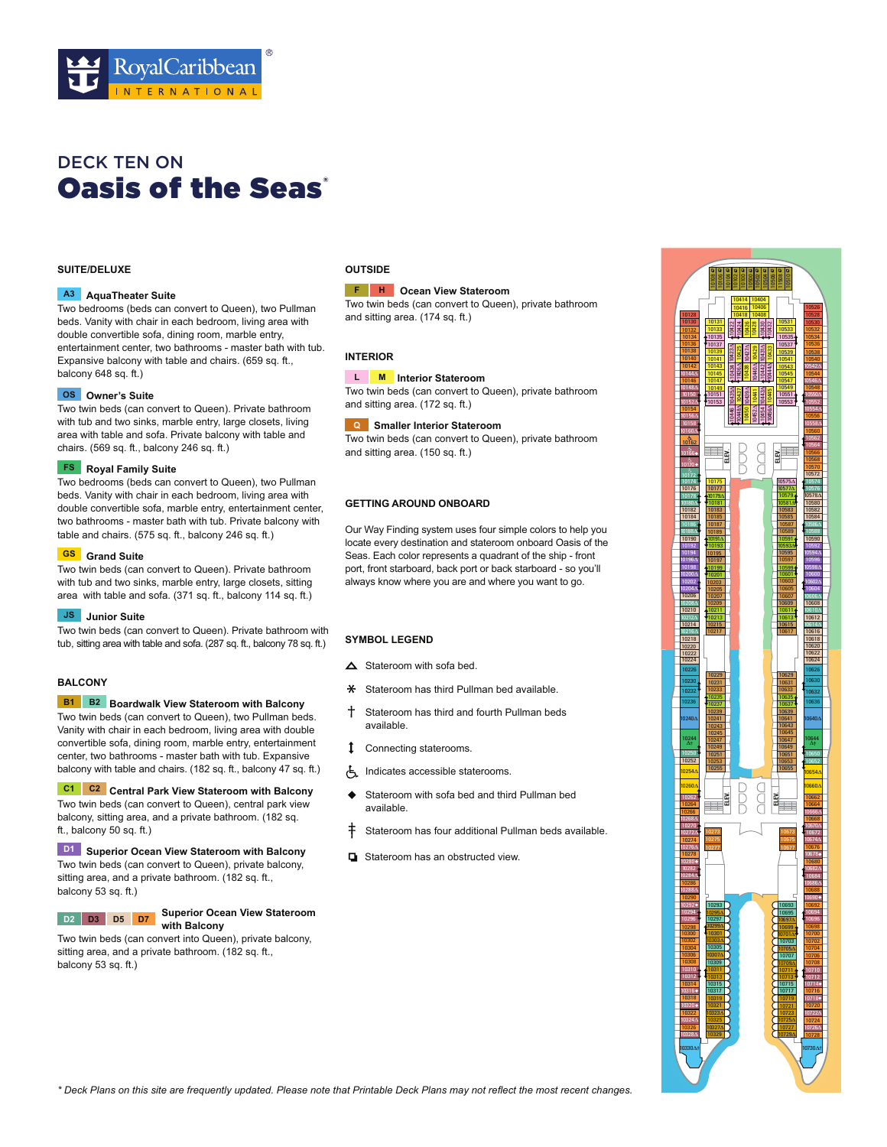

# **Oasis of the Seas** DECK TEN ON

# **SUITE/DELUXE**

#### **AquaTheater Suite A3**

Two bedrooms (beds can convert to Queen), two Pullman beds. Vanity with chair in each bedroom, living area with double convertible sofa, dining room, marble entry, entertainment center, two bathrooms - master bath with tub. Expansive balcony with table and chairs. (659 sq. ft., balcony 648 sq. ft.)

#### **Owner's Suite OS**

Two twin beds (can convert to Queen). Private bathroom with tub and two sinks, marble entry, large closets, living area with table and sofa. Private balcony with table and chairs. (569 sq. ft., balcony 246 sq. ft.)

#### **FS** Royal Family Suite

Two bedrooms (beds can convert to Queen), two Pullman beds. Vanity with chair in each bedroom, living area with double convertible sofa, marble entry, entertainment center, two bathrooms - master bath with tub. Private balcony with table and chairs. (575 sq. ft., balcony 246 sq. ft.)

#### **Grand Suite GS**

Two twin beds (can convert to Queen). Private bathroom with tub and two sinks, marble entry, large closets, sitting area with table and sofa. (371 sq. ft., balcony 114 sq. ft.)

#### **JS** Junior Suite

Two twin beds (can convert to Queen). Private bathroom with tub, sitting area with table and sofa. (287 sq. ft., balcony 78 sq. ft.)

# **BALCONY**

#### **B1** B2 Boardwalk View Stateroom with Balcony

Two twin beds (can convert to Queen), two Pullman beds. Vanity with chair in each bedroom, living area with double convertible sofa, dining room, marble entry, entertainment center, two bathrooms - master bath with tub. Expansive balcony with table and chairs. (182 sq. ft., balcony 47 sq. ft.)

**C1** C<sub>2</sub> Central Park View Stateroom with Balcony Two twin beds (can convert to Queen), central park view balcony, sitting area, and a private bathroom. (182 sq. ft., balcony 50 sq. ft.)

**Superior Ocean View Stateroom with Balcony D1** Two twin beds (can convert to Queen), private balcony, sitting area, and a private bathroom. (182 sq. ft., balcony 53 sq. ft.)

**D2 D3 D5 D7**

#### **Superior Ocean View Stateroom with Balcony**

Two twin beds (can convert into Queen), private balcony, sitting area, and a private bathroom. (182 sq. ft., balcony 53 sq. ft.)

# **OUTSIDE**

#### **F H** Ocean View Stateroom

Two twin beds (can convert to Queen), private bathroom and sitting area. (174 sq. ft.)

# **INTERIOR**

#### **Interior Stateroom M L**

Two twin beds (can convert to Queen), private bathroom and sitting area. (172 sq. ft.)

### **Smaller Interior Stateroom Q**

Two twin beds (can convert to Queen), private bathroom and sitting area. (150 sq. ft.)

# **GETTING AROUND ONBOARD**

Our Way Finding system uses four simple colors to help you locate every destination and stateroom onboard Oasis of the Seas. Each color represents a quadrant of the ship - front port, front starboard, back port or back starboard - so you'll always know where you are and where you want to go.

# **SYMBOL LEGEND**

- $\triangle$  Stateroom with sofa bed.
- $\ast$  Stateroom has third Pullman bed available.
- Stateroom has third and fourth Pullman beds available
- Connecting staterooms.
- Indicates accessible staterooms.
- ♦ Stateroom with sofa bed and third Pullman bed available
- Stateroom has four additional Pullman beds available.
- Stateroom has an obstructed view.



\* Deck Plans on this site are frequently updated. Please note that Printable Deck Plans may not reflect the most recent changes.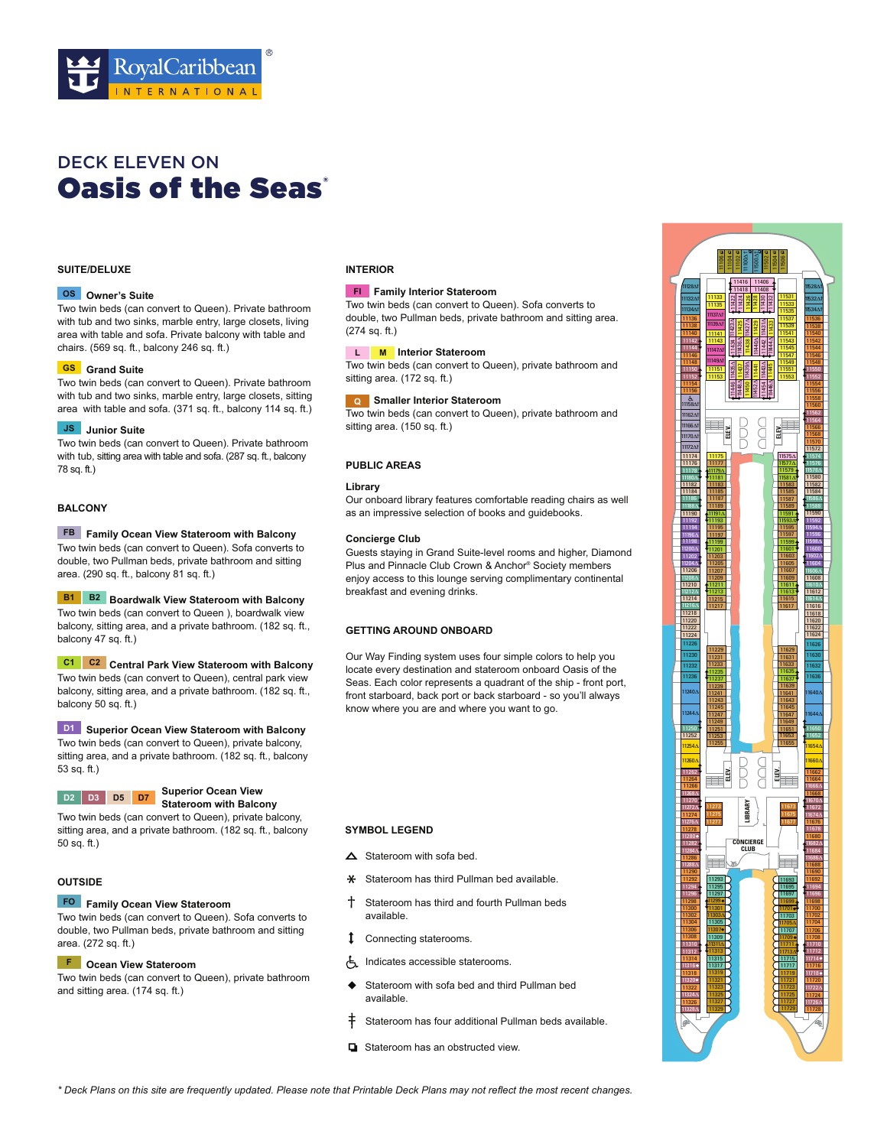

# **Oasis of the Seas** DECK ELEVEN ON

# **SUITE/DELUXE**

#### **Owner's Suite OS**

Two twin beds (can convert to Queen). Private bathroom with tub and two sinks, marble entry, large closets, living area with table and sofa. Private balcony with table and chairs. (569 sq. ft., balcony 246 sq. ft.)

### **Grand Suite GS**

Two twin beds (can convert to Queen). Private bathroom with tub and two sinks, marble entry, large closets, sitting area with table and sofa. (371 sq. ft., balcony 114 sq. ft.)

#### **JS** Junior Suite

Two twin beds (can convert to Queen). Private bathroom with tub, sitting area with table and sofa. (287 sq. ft., balcony 78 sq. ft.)

# **BALCONY**

# **FB** Family Ocean View Stateroom with Balcony

Two twin beds (can convert to Queen). Sofa converts to double, two Pullman beds, private bathroom and sitting area.  $(290$  sq. ft., balcony  $81$  sq. ft.)

**B1** B2 Boardwalk View Stateroom with Balcony Two twin beds (can convert to Queen ), boardwalk view

balcony, sitting area, and a private bathroom. (182 sq. ft., balcony 47 sq. ft.)

**C1 C2** Central Park View Stateroom with Balcony Two twin beds (can convert to Queen), central park view balcony, sitting area, and a private bathroom. (182 sq. ft., balcony 50 sq. ft.)

#### **D1** Superior Ocean View Stateroom with Balcony

Two twin beds (can convert to Queen), private balcony, sitting area, and a private bathroom. (182 sq. ft., balcony sq. ft.)



#### **Superior Ocean View Stateroom with Balcony**

Two twin beds (can convert to Queen), private balcony, sitting area, and a private bathroom. (182 sq. ft., balcony 50 sq. ft.)

# **OUTSIDE**

### **Family Ocean View Stateroom FO**

Two twin beds (can convert to Queen). Sofa converts to double, two Pullman beds, private bathroom and sitting area. (272 sq. ft.)

#### **Ocean View Stateroom F**

Two twin beds (can convert to Queen), private bathroom and sitting area. (174 sq. ft.)

# **INTERIOR**

#### **Family Interior Stateroom FI**

Two twin beds (can convert to Queen). Sofa converts to double, two Pullman beds, private bathroom and sitting area.  $(274 sq. ft.)$ 

#### **I.** M Interior Stateroom

Two twin beds (can convert to Queen), private bathroom and sitting area. (172 sq. ft.)

#### **Smaller Interior Stateroom Q**

Two twin beds (can convert to Queen), private bathroom and sitting area. (150 sq. ft.)

#### **PUBLIC AREAS**

#### **Library**

Our onboard library features comfortable reading chairs as well as an impressive selection of books and guidebooks.

# **Concierge Club**

Guests staying in Grand Suite-level rooms and higher, Diamond Plus and Pinnacle Club Crown & Anchor® Society members enjoy access to this lounge serving complimentary continental breakfast and evening drinks.

# **GETTING AROUND ONBOARD**

Our Way Finding system uses four simple colors to help you locate every destination and stateroom onboard Oasis of the Seas. Each color represents a quadrant of the ship - front port, front starboard, back port or back starboard - so you'll always know where you are and where you want to go.

- $\triangle$  Stateroom with sofa bed.
- \* Stateroom has third Pullman bed available.
- Stateroom has third and fourth Pullman beds availahle
- Connecting staterooms.
- Indicates accessible staterooms.
- Stateroom with sofa bed and third Pullman bed available.
- $\dagger$  Stateroom has four additional Pullman beds available.
- $\Box$  Stateroom has an obstructed view.

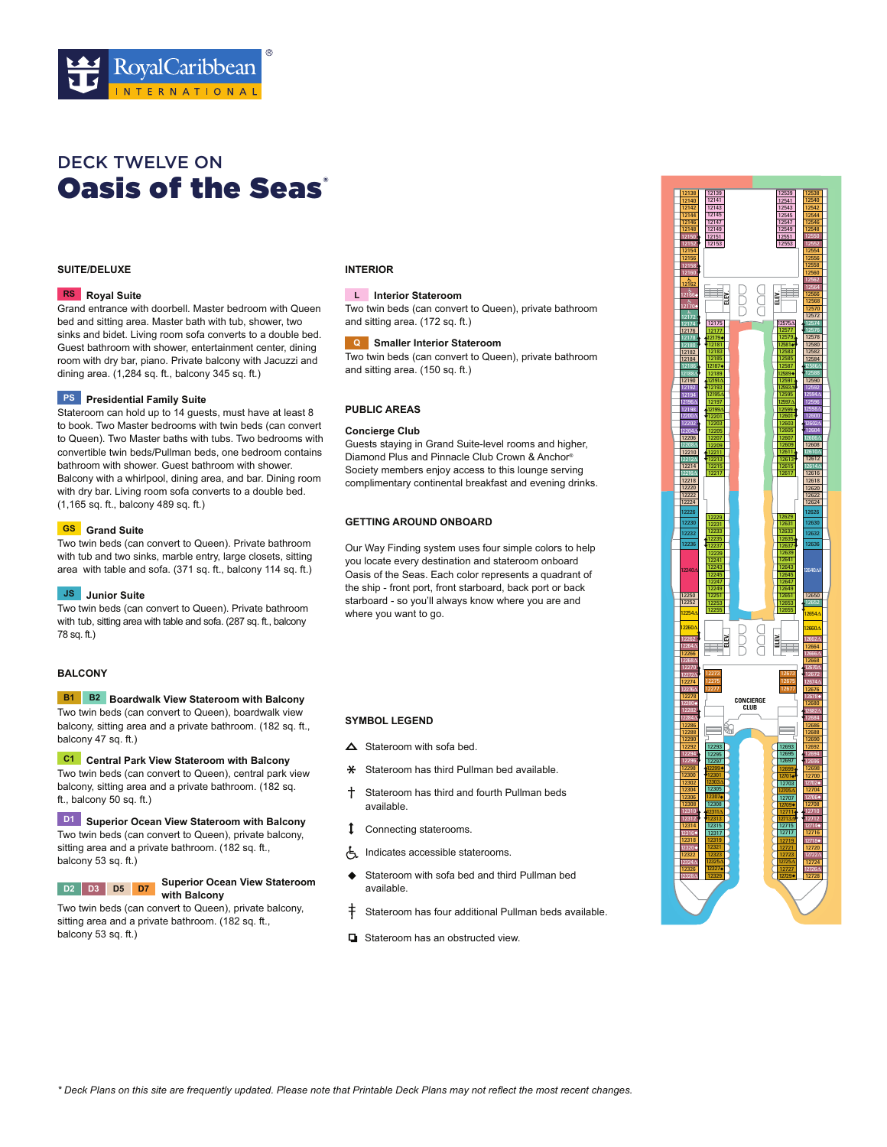

# **Oasis of the Seas** DECK TWELVE ON

# **SUITE/DELUXE**

# **Royal Suite RS**

Grand entrance with doorbell. Master bedroom with Queen bed and sitting area. Master bath with tub, shower, two sinks and bidet. Living room sofa converts to a double bed. Guest bathroom with shower, entertainment center, dining room with dry bar, piano. Private balcony with Jacuzzi and dining area. (1,284 sq. ft., balcony 345 sq. ft.)

#### **PS** Presidential Family Suite

Stateroom can hold up to 14 guests, must have at least 8 to book. Two Master bedrooms with twin beds (can convert to Queen). Two Master baths with tubs. Two bedrooms with convertible twin beds/Pullman beds, one bedroom contains bathroom with shower. Guest bathroom with shower. Balcony with a whirlpool, dining area, and bar. Dining room with dry bar. Living room sofa converts to a double bed.  $(1,165$  sq. ft., balcony 489 sq. ft.)

#### **Grand Suite GS**

Two twin beds (can convert to Queen). Private bathroom with tub and two sinks, marble entry, large closets, sitting area with table and sofa. (371 sq. ft., balcony 114 sq. ft.)

# **JS** Junior Suite

Two twin beds (can convert to Queen). Private bathroom with tub, sitting area with table and sofa. (287 sq. ft., balcony 78 sq. ft.)

#### **BALCONY**

#### **B1** B2 Boardwalk View Stateroom with Balcony Two twin beds (can convert to Queen), boardwalk view balcony, sitting area and a private bathroom. (182 sq. ft., balcony 47 sq. ft.)

**C1** Central Park View Stateroom with Balcony Two twin beds (can convert to Queen), central park view balcony, sitting area and a private bathroom. (182 sq. ft., balcony 50 sq. ft.)

# **Superior Ocean View Stateroom with Balcony D1**

Two twin beds (can convert to Queen), private balcony, sitting area and a private bathroom. (182 sq. ft., balcony 53 sq. ft.)



# **Superior Ocean View Stateroom with Balcony**

Two twin beds (can convert to Queen), private balcony, sitting area and a private bathroom. (182 sq. ft., balcony 53 sq. ft.)

# **INTERIOR**

#### **Interior Stateroom L**

Two twin beds (can convert to Queen), private bathroom and sitting area. (172 sq. ft.)

#### **Smaller Interior Stateroom Q**

Two twin beds (can convert to Queen), private bathroom and sitting area. (150 sq. ft.)

#### **PUBLIC AREAS**

#### **Concierge Club**

Guests staying in Grand Suite-level rooms and higher, Diamond Plus and Pinnacle Club Crown & Anchor® Society members enjoy access to this lounge serving complimentary continental breakfast and evening drinks.

# **GETTING AROUND ONBOARD**

Our Way Finding system uses four simple colors to help you locate every destination and stateroom onboard Oasis of the Seas. Each color represents a quadrant of the ship - front port, front starboard, back port or back starboard - so you'll always know where you are and where you want to go.

- $\triangle$  Stateroom with sofa bed.
- **\*** Stateroom has third Pullman bed available.
- Stateroom has third and fourth Pullman beds available.
- Connecting staterooms.
- Indicates accessible staterooms.
- Stateroom with sofa bed and third Pullman bed available.
- $\ddagger$  Stateroom has four additional Pullman beds available.
- **D** Stateroom has an obstructed view

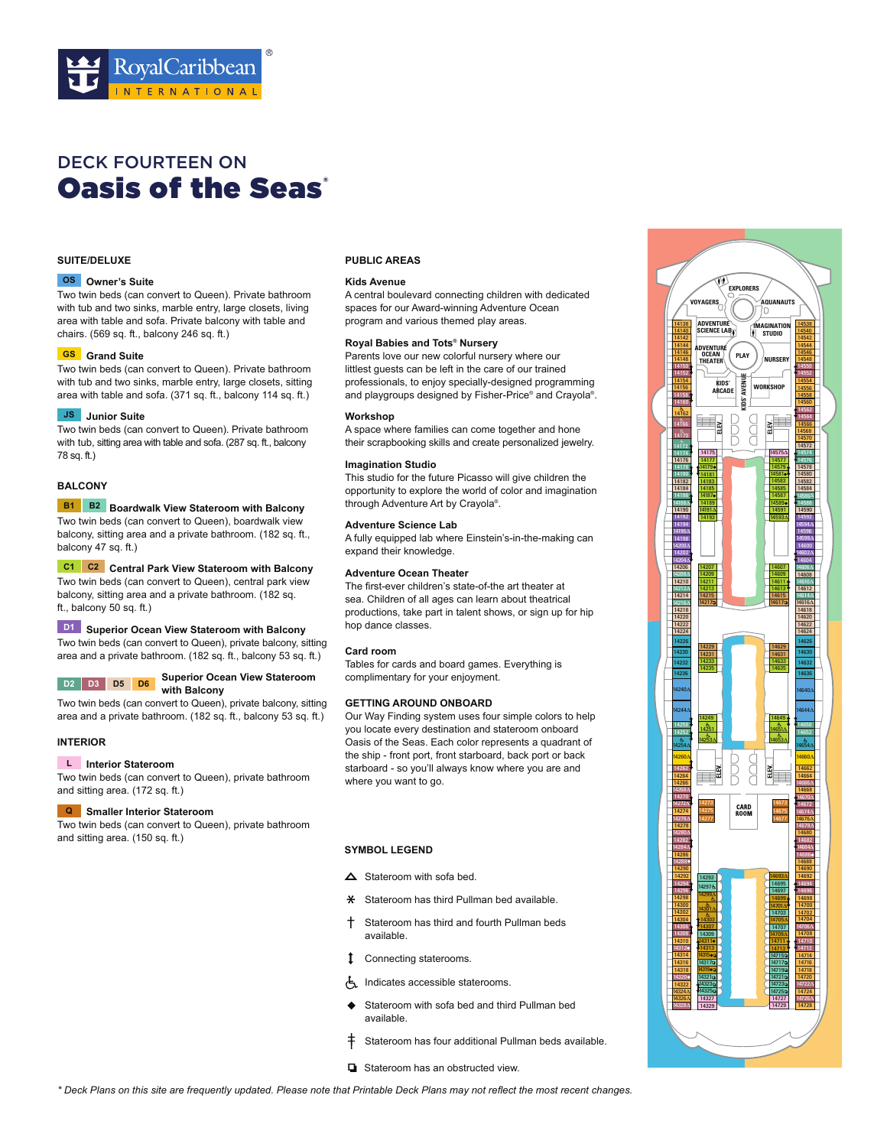

# **Oasis of the Seas** DECK FOURTEEN ON

#### **SUITE/DELUXE**

#### **Owner's Suite OS**

Two twin beds (can convert to Queen). Private bathroom with tub and two sinks, marble entry, large closets, living area with table and sofa. Private balcony with table and chairs. (569 sq. ft., balcony 246 sq. ft.)

#### **Grand Suite GS**

Two twin beds (can convert to Queen). Private bathroom with tub and two sinks, marble entry, large closets, sitting area with table and sofa.  $(371$  sq. ft., balcony 114 sq. ft.)

#### **JS** Junior Suite

Two twin beds (can convert to Queen). Private bathroom with tub, sitting area with table and sofa. (287 sq. ft., balcony sa. ft.)

# **BALCONY**

#### **B1** B2 Boardwalk View Stateroom with Balcony

Two twin beds (can convert to Queen), boardwalk view balcony, sitting area and a private bathroom. (182 sq. ft., balcony 47 sq. ft.)

# **C1** C<sub>2</sub> Central Park View Stateroom with Balcony

Two twin beds (can convert to Queen), central park view balcony, sitting area and a private bathroom. (182 sq. ft., balcony sq. ft.)

# **Superior Ocean View Stateroom with Balcony D1**

Two twin beds (can convert to Queen), private balcony, sitting area and a private bathroom. (182 sq. ft., balcony 53 sq. ft.)

### **Superior Ocean View Stateroom with Balcony**

Two twin beds (can convert to Queen), private balcony, sitting area and a private bathroom. (182 sq. ft., balcony 53 sq. ft.)

# **INTERIOR**

#### **Interior Stateroom L**

**D2 D3 D5 D6**

Two twin beds (can convert to Queen), private bathroom and sitting area. (172 sq. ft.)

#### **Smaller Interior Stateroom Q**

Two twin beds (can convert to Queen), private bathroom and sitting area.  $(150$  sq. ft.)

#### **PUBLIC AREAS**

#### **Kids Avenue**

A central boulevard connecting children with dedicated spaces for our Award-winning Adventure Ocean program and various themed play areas.

### **Royal Babies and Tots® Nursery**

Parents love our new colorful nursery where our littlest guests can be left in the care of our trained professionals, to enjoy specially-designed programming and playgroups designed by Fisher-Price® and Crayola®.

#### **Workshop**

A space where families can come together and hone their scrapbooking skills and create personalized jewelry.

#### **Imagination Studio**

This studio for the future Picasso will give children the opportunity to explore the world of color and imagination through Adventure Art by Crayola®.

# **Adventure Science Lab**

A fully equipped lab where Einstein's-in-the-making can expand their knowledge.

# **Adventure Ocean Theater**

The first-ever children's state-of-the art theater at sea. Children of all ages can learn about theatrical productions, take part in talent shows, or sign up for hip hop dance classes.

# **Card room**

Tables for cards and board games. Everything is complimentary for your enjoyment.

# **GETTING AROUND ONBOARD**

Our Way Finding system uses four simple colors to help you locate every destination and stateroom onboard Oasis of the Seas. Each color represents a quadrant of the ship - front port, front starboard, back port or back starboard - so you'll always know where you are and where you want to go.

- $\triangle$  Stateroom with sofa bed.
- **\*** Stateroom has third Pullman bed available.
- Stateroom has third and fourth Pullman beds available.
- Connecting staterooms.
- Indicates accessible staterooms.
- Stateroom with sofa bed and third Pullman bed available.
- Stateroom has four additional Pullman beds available.
- $\Box$  Stateroom has an obstructed view.

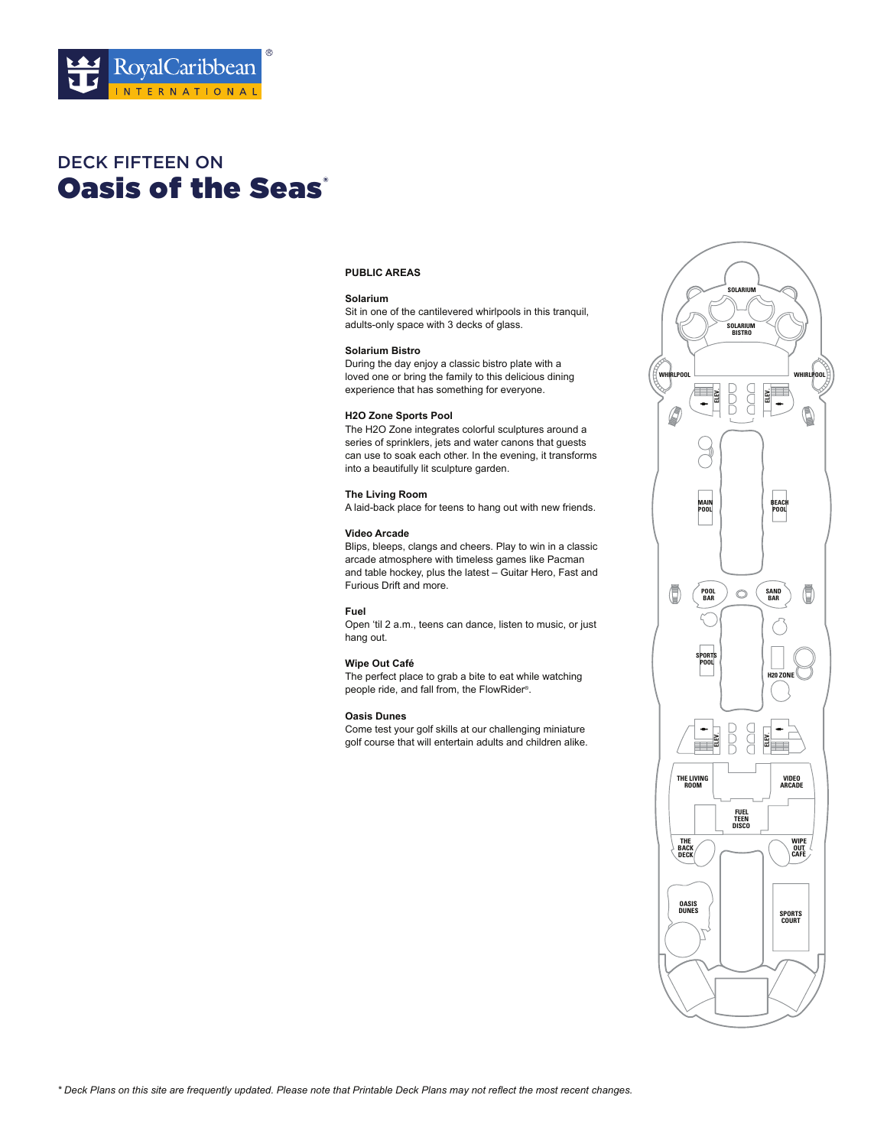

# **Oasis of the Seas'** DECK FIFTEEN ON

# **PUBLIC AREAS**

#### **Solarium**

Sit in one of the cantilevered whirlpools in this tranquil, adults-only space with 3 decks of glass.

### **Solarium Bistro**

During the day enjoy a classic bistro plate with a loved one or bring the family to this delicious dining experience that has something for everyone.

#### **H2O Zone Sports Pool**

The H2O Zone integrates colorful sculptures around a series of sprinklers, jets and water canons that guests can use to soak each other. In the evening, it transforms into a beautifully lit sculpture garden.

# **The Living Room**

A laid-back place for teens to hang out with new friends.

### **Video Arcade**

Blips, bleeps, clangs and cheers. Play to win in a classic arcade atmosphere with timeless games like Pacman and table hockey, plus the latest – Guitar Hero, Fast and Furious Drift and more.

# **Fuel**

Open 'til 2 a.m., teens can dance, listen to music, or just hang out.

### **Wipe Out Café**

The perfect place to grab a bite to eat while watching people ride, and fall from, the FlowRider®.

# **Oasis Dunes**

Come test your golf skills at our challenging miniature golf course that will entertain adults and children alike.

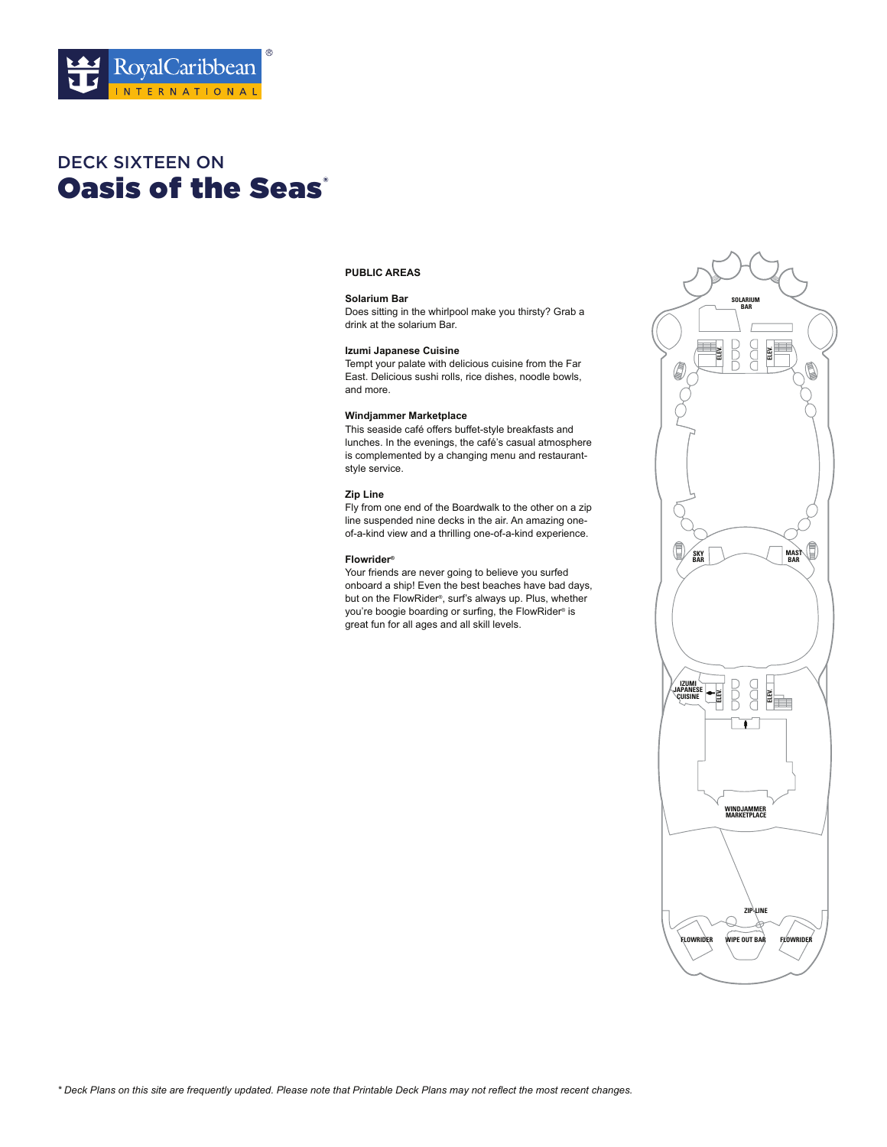

# **Oasis of the Seas'** DECK SIXTEEN ON

# **PUBLIC AREAS**

#### **Solarium Bar**

Does sitting in the whirlpool make you thirsty? Grab a drink at the solarium Bar.

### **Izumi Japanese Cuisine**

Tempt your palate with delicious cuisine from the Far East. Delicious sushi rolls, rice dishes, noodle bowls, and more.

### **Windjammer Marketplace**

This seaside café offers buffet-style breakfasts and lunches. In the evenings, the café's casual atmosphere is complemented by a changing menu and restaurantstyle service.

# **Zip Line**

Fly from one end of the Boardwalk to the other on a zip line suspended nine decks in the air. An amazing oneof-a-kind view and a thrilling one-of-a-kind experience.

# **Flowrider®**

Your friends are never going to believe you surfed onboard a ship! Even the best beaches have bad days, but on the FlowRider®, surf's always up. Plus, whether you're boogie boarding or surfing, the FlowRider® is great fun for all ages and all skill levels.

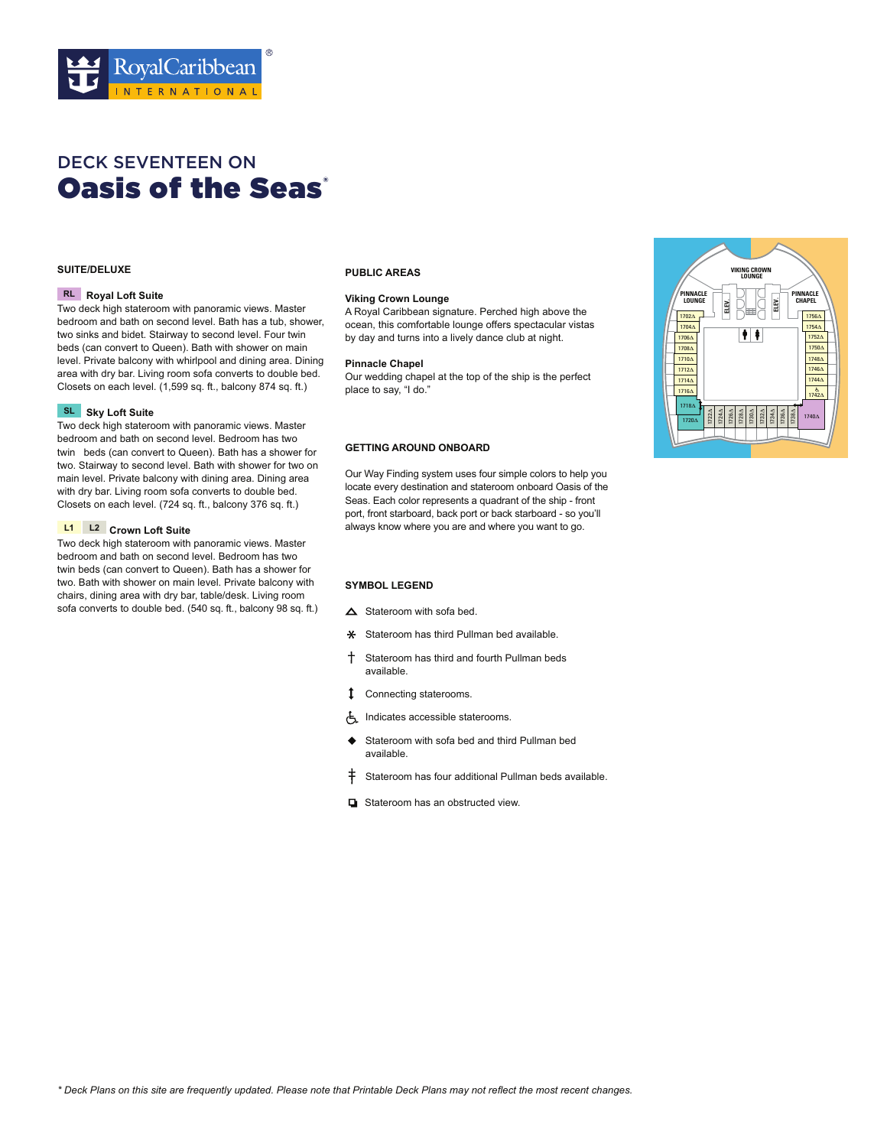

# **Oasis of the Seas** DECK SEVENTEEN ON

# **SUITE/DELUXE**

#### **RL** Royal Loft Suite

Two deck high stateroom with panoramic views. Master bedroom and bath on second level. Bath has a tub, shower, two sinks and bidet. Stairway to second level. Four twin beds (can convert to Queen). Bath with shower on main level. Private balcony with whirlpool and dining area. Dining area with dry bar. Living room sofa converts to double bed. Closets on each level. (1,599 sq. ft., balcony 874 sq. ft.)

### **SL** Sky Loft Suite

Two deck high stateroom with panoramic views. Master bedroom and bath on second level. Bedroom has two twin beds (can convert to Queen). Bath has a shower for two. Stairway to second level. Bath with shower for two on main level. Private balcony with dining area. Dining area with dry bar. Living room sofa converts to double bed. Closets on each level. (724 sq. ft., balcony 376 sq. ft.)

#### **L1** L2 Crown Loft Suite

Two deck high stateroom with panoramic views. Master bedroom and bath on second level. Bedroom has two twin beds (can convert to Queen). Bath has a shower for two. Bath with shower on main level. Private balcony with chairs, dining area with dry bar, table/desk. Living room sofa converts to double bed. (540 sq. ft., balcony 98 sq. ft.)

# **PUBLIC AREAS**

#### **Viking Crown Lounge**

A Royal Caribbean signature. Perched high above the ocean, this comfortable lounge offers spectacular vistas by day and turns into a lively dance club at night.

#### **Pinnacle Chapel**

Our wedding chapel at the top of the ship is the perfect place to say, "I do."

# **GETTING AROUND ONBOARD**

Our Way Finding system uses four simple colors to help you locate every destination and stateroom onboard Oasis of the Seas. Each color represents a quadrant of the ship - front port, front starboard, back port or back starboard - so you'll **L2** always know where you are and where you want to go.

- $\triangle$  Stateroom with sofa bed.
- $\ast$  Stateroom has third Pullman bed available.
- Stateroom has third and fourth Pullman beds available
- Connecting staterooms.
- Indicates accessible staterooms.
- ♦ Stateroom with sofa bed and third Pullman bed available
- $\ddagger$  Stateroom has four additional Pullman beds available.
- $\Box$  Stateroom has an obstructed view.